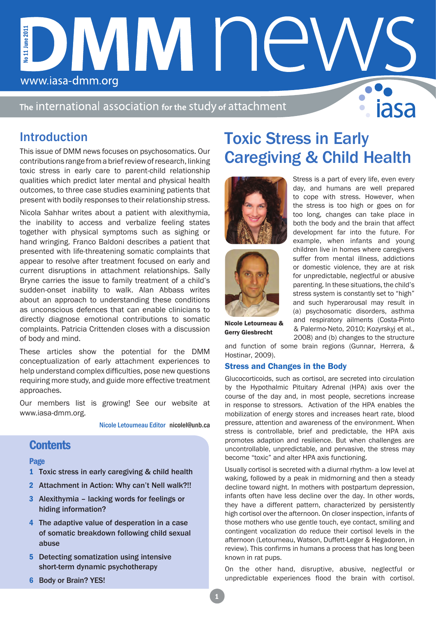# DMM NE No 11 June 2011 No 11 June 2011 www.iasa-dmm.org

The international association for the study of attachment

## Introduction

This issue of DMM news focuses on psychosomatics. Our contributions range from a brief review of research, linking toxic stress in early care to parent-child relationship qualities which predict later mental and physical health outcomes, to three case studies examining patients that present with bodily responses to their relationship stress.

Nicola Sahhar writes about a patient with alexithymia, the inability to access and verbalize feeling states together with physical symptoms such as sighing or hand wringing. Franco Baldoni describes a patient that presented with life-threatening somatic complaints that appear to resolve after treatment focused on early and current disruptions in attachment relationships. Sally Bryne carries the issue to family treatment of a child's sudden-onset inability to walk. Alan Abbass writes about an approach to understanding these conditions as unconscious defences that can enable clinicians to directly diagnose emotional contributions to somatic complaints. Patricia Crittenden closes with a discussion of body and mind.

These articles show the potential for the DMM conceptualization of early attachment experiences to help understand complex difficulties, pose new questions requiring more study, and guide more effective treatment approaches.

Our members list is growing! See our website at www.iasa-dmm.org.

Nicole Letourneau Editor nicolel@unb.ca

### **Contents**

#### Page

- 1 Toxic stress in early caregiving & child health
- 2 Attachment in Action: Why can't Nell walk?!!
- 3 Alexithymia lacking words for feelings or hiding information?
- 4 The adaptive value of desperation in a case of somatic breakdown following child sexual abuse
- 5 Detecting somatization using intensive short-term dynamic psychotherapy
- 6 Body or Brain? YES!

## Toxic Stress in Early Caregiving & Child Health





Stress is a part of every life, even every day, and humans are well prepared to cope with stress. However, when the stress is too high or goes on for too long, changes can take place in both the body and the brain that affect development far into the future. For example, when infants and young children live in homes where caregivers suffer from mental illness, addictions or domestic violence, they are at risk for unpredictable, neglectful or abusive parenting. In these situations, the child's stress system is constantly set to "high" and such hyperarousal may result in (a) psychosomatic disorders, asthma and respiratory ailments (Costa-Pinto & Palermo-Neto, 2010; Kozyrskyj et al., 2008) and (b) changes to the structure

Nicole Letourneau & Gerry Giesbrecht

and function of some brain regions (Gunnar, Herrera, & Hostinar, 2009).

#### Stress and Changes in the Body

Glucocorticoids, such as cortisol, are secreted into circulation by the Hypothalmic Pituitary Adrenal (HPA) axis over the course of the day and, in most people, secretions increase in response to stressors. Activation of the HPA enables the mobilization of energy stores and increases heart rate, blood pressure, attention and awareness of the environment. When stress is controllable, brief and predictable, the HPA axis promotes adaption and resilience. But when challenges are uncontrollable, unpredictable, and pervasive, the stress may become "toxic" and alter HPA axis functioning.

Usually cortisol is secreted with a diurnal rhythm- a low level at waking, followed by a peak in midmorning and then a steady decline toward night. In mothers with postpartum depression, infants often have less decline over the day. In other words, they have a different pattern, characterized by persistently high cortisol over the afternoon. On closer inspection, infants of those mothers who use gentle touch, eye contact, smiling and contingent vocalization do reduce their cortisol levels in the afternoon (Letourneau, Watson, Duffett-Leger & Hegadoren, in review). This confirms in humans a process that has long been known in rat pups.

On the other hand, disruptive, abusive, neglectful or unpredictable experiences flood the brain with cortisol.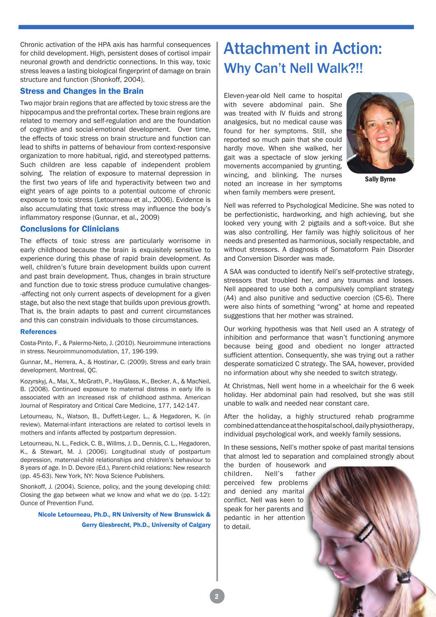Chronic activation of the HPA axis has harmful consequences for child development. High, persistent doses of cortisol impair neuronal growth and dendrictic connections. In this way, toxic stress leaves a lasting biological fingerprint of damage on brain structure and function (Shonkoff, 2004).

#### Stress and Changes in the Brain

Two major brain regions that are affected by toxic stress are the hippocampus and the prefrontal cortex. These brain regions are related to memory and self-regulation and are the foundation of cognitive and social-emotional development. Over time, the effects of toxic stress on brain structure and function can lead to shifts in patterns of behaviour from context-responsive organization to more habitual, rigid, and stereotyped patterns. Such children are less capable of independent problem solving. The relation of exposure to maternal depression in the first two years of life and hyperactivity between two and eight years of age points to a potential outcome of chronic exposure to toxic stress (Letourneau et al., 2006). Evidence is also accumulating that toxic stress may influence the body's inflammatory response (Gunnar, et al., 2009)

#### Conclusions for Clinicians

The effects of toxic stress are particularly worrisome in early childhood because the brain is exquisitely sensitive to experience during this phase of rapid brain development. As well, children's future brain development builds upon current and past brain development. Thus, changes in brain structure and function due to toxic stress produce cumulative changes- -affecting not only current aspects of development for a given stage, but also the next stage that builds upon previous growth. That is, the brain adapts to past and current circumstances and this can constrain individuals to those circumstances.

#### References

Costa-Pinto, F., & Palermo-Neto, J. (2010). Neuroimmune interactions in stress. Neuroimmunomodulation, 17, 196-199.

Gunnar, M., Herrera, A., & Hostinar, C. (2009). Stress and early brain development. Montreal, QC.

Kozyrskyj, A., Mai, X., McGrath, P., HayGlass, K., Becker, A., & MacNeil, B. (2008). Continued exposure to maternal distress in early life is associated with an increased risk of childhood asthma. American Journal of Respiratory and Critical Care Medicine, 177, 142-147.

Letourneau, N., Watson, B., Duffett-Leger, L., & Hegadoren, K. (in review). Maternal-infant interactions are related to cortisol levels in mothers and infants affected by postpartum depression.

Letourneau, N. L., Fedick, C. B., Willms, J. D., Dennis, C. L., Hegadoren, K., & Stewart, M. J. (2006). Longitudinal study of postpartum depression, maternal-child relationships and children's behaviour to 8 years of age. In D. Devore (Ed.), Parent-child relations: New research (pp. 45-63). New York, NY: Nova Science Publishers.

Shonkoff, J. (2004). Science, policy, and the young developing child: Closing the gap between what we know and what we do (pp. 1-12): Ounce of Prevention Fund.

#### Nicole Letourneau, Ph.D., RN University of New Brunswick & Gerry Giesbrecht, Ph.D., University of Calgary

## Attachment in Action: Why Can't Nell Walk?!!

Eleven-year-old Nell came to hospital with severe abdominal pain. She was treated with IV fluids and strong analgesics, but no medical cause was found for her symptoms. Still, she reported so much pain that she could hardly move. When she walked, her gait was a spectacle of slow jerking movements accompanied by grunting, wincing, and blinking. The nurses noted an increase in her symptoms when family members were present.



Sally Byrne

Nell was referred to Psychological Medicine. She was noted to be perfectionistic, hardworking, and high achieving, but she looked very young with 2 pigtails and a soft-voice. But she was also controlling. Her family was highly solicitous of her needs and presented as harmonious, socially respectable, and without stressors. A diagnosis of Somatoform Pain Disorder and Conversion Disorder was made.

A SAA was conducted to identify Nell's self-protective strategy, stressors that troubled her, and any traumas and losses. Nell appeared to use both a compulsively compliant strategy (A4) and also punitive and seductive coercion (C5-6). There were also hints of something "wrong" at home and repeated suggestions that her mother was strained.

Our working hypothesis was that Nell used an A strategy of inhibition and performance that wasn't functioning anymore because being good and obedient no longer attracted sufficient attention. Consequently, she was trying out a rather desperate somaticized C strategy. The SAA, however, provided no information about why she needed to switch strategy.

At Christmas, Nell went home in a wheelchair for the 6 week holiday. Her abdominal pain had resolved, but she was still unable to walk and needed near constant care.

After the holiday, a highly structured rehab programme combined attendance at the hospital school, daily physiotherapy, individual psychological work, and weekly family sessions.

In these sessions, Nell's mother spoke of past marital tensions that almost led to separation and complained strongly about the burden of housework and

children. Nell's father perceived few problems and denied any marital conflict. Nell was keen to speak for her parents and pedantic in her attention to detail.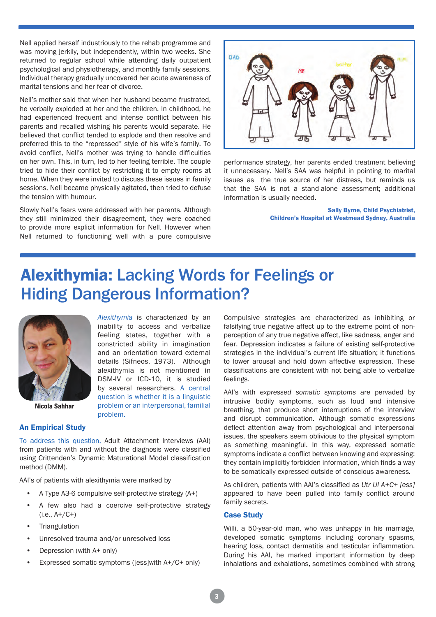Nell applied herself industriously to the rehab programme and was moving jerkily, but independently, within two weeks. She returned to regular school while attending daily outpatient psychological and physiotherapy, and monthly family sessions. Individual therapy gradually uncovered her acute awareness of marital tensions and her fear of divorce.

Nell's mother said that when her husband became frustrated, he verbally exploded at her and the children. In childhood, he had experienced frequent and intense conflict between his parents and recalled wishing his parents would separate. He believed that conflict tended to explode and then resolve and preferred this to the "repressed" style of his wife's family. To avoid conflict, Nell's mother was trying to handle difficulties on her own. This, in turn, led to her feeling terrible. The couple tried to hide their conflict by restricting it to empty rooms at home. When they were invited to discuss these issues in family sessions, Nell became physically agitated, then tried to defuse the tension with humour.

Slowly Nell's fears were addressed with her parents. Although they still minimized their disagreement, they were coached to provide more explicit information for Nell. However when Nell returned to functioning well with a pure compulsive



performance strategy, her parents ended treatment believing it unnecessary. Nell's SAA was helpful in pointing to marital issues as the true source of her distress, but reminds us that the SAA is not a stand-alone assessment; additional information is usually needed.

> Sally Byrne, Child Psychiatrist, Children's Hospital at Westmead Sydney, Australia

# Alexithymia: Lacking Words for Feelings or Hiding Dangerous Information?

*Alexithymia* is characterized by an inability to access and verbalize feeling states, together with a constricted ability in imagination and an orientation toward external details (Sifneos, 1973). Although alexithymia is not mentioned in DSM-IV or ICD-10, it is studied by several researchers. A central question is whether it is a linguistic problem or an interpersonal, familial



Nicola Sahhar

An Empirical Study

To address this question, Adult Attachment Interviews (AAI) from patients with and without the diagnosis were classified using Crittenden's Dynamic Maturational Model classification method (DMM).

problem.

AAI's of patients with alexithymia were marked by

- A Type A3-6 compulsive self-protective strategy (A+)
- A few also had a coercive self-protective strategy  $(i.e., A+/C+)$
- **Triangulation**
- Unresolved trauma and/or unresolved loss
- Depression (with A+ only)
- Expressed somatic symptoms ([ess]with A+/C+ only)

Compulsive strategies are characterized as inhibiting or falsifying true negative affect up to the extreme point of nonperception of any true negative affect, like sadness, anger and fear. Depression indicates a failure of existing self-protective strategies in the individual's current life situation; it functions to lower arousal and hold down affective expression. These classifications are consistent with not being able to verbalize feelings.

AAI's with *expressed somatic symptoms* are pervaded by intrusive bodily symptoms, such as loud and intensive breathing, that produce short interruptions of the interview and disrupt communication. Although somatic expressions deflect attention away from psychological and interpersonal issues, the speakers seem oblivious to the physical symptom as something meaningful. In this way, expressed somatic symptoms indicate a conflict between knowing and expressing: they contain implicitly forbidden information, which finds a way to be somatically expressed outside of conscious awareness.

As children, patients with AAI's classified as *Utr Ul A+C+ [ess]*  appeared to have been pulled into family conflict around family secrets.

#### Case Study

Willi, a 50-year-old man, who was unhappy in his marriage. developed somatic symptoms including coronary spasms, hearing loss, contact dermatitis and testicular inflammation. During his AAI, he marked important information by deep inhalations and exhalations, sometimes combined with strong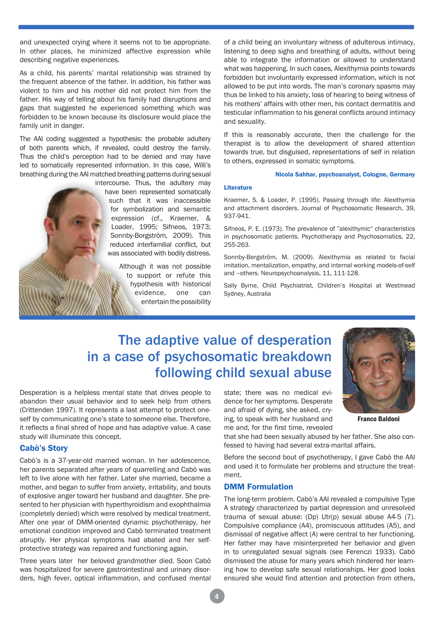and unexpected crying where it seems not to be appropriate. In other places, he minimized affective expression while describing negative experiences.

As a child, his parents' marital relationship was strained by the frequent absence of the father. In addition, his father was violent to him and his mother did not protect him from the father. His way of telling about his family had disruptions and gaps that suggested he experienced something which was forbidden to be known because its disclosure would place the family unit in danger.

The AAI coding suggested a hypothesis: the probable adultery of both parents which, if revealed, could destroy the family. Thus the child's perception had to be denied and may have led to somatically represented information. In this case, Willi's breathing during the AAI matched breathing patterns during sexual

intercourse. Thus, the adultery may have been represented somatically such that it was inaccessible for symbolization and semantic expression (cf., Kraemer, & Loader, 1995; Sifneos, 1973; Sonnby-Borgström, 2009). This reduced interfamilial conflict, but was associated with bodily distress.

> Although it was not possible to support or refute this hypothesis with historical evidence, one can entertain the possibility

of a child being an involuntary witness of adulterous intimacy, listening to deep sighs and breathing of adults, without being able to integrate the information or allowed to understand what was happening. In such cases, Alexithymia points towards forbidden but involuntarily expressed information, which is not allowed to be put into words. The man's coronary spasms may thus be linked to his anxiety, loss of hearing to being witness of his mothers' affairs with other men, his contact dermatitis and testicular inflammation to his general conflicts around intimacy and sexuality.

If this is reasonably accurate, then the challenge for the therapist is to allow the development of shared attention towards true, but disguised, representations of self in relation to others, expressed in somatic symptoms.

#### Nicola Sahhar, psychoanalyst, Cologne, Germany

#### **Literature**

Kraemer, S. & Loader, P. (1995). Passing through life: Alexithymia and attachment disorders. Journal of Psychosomatic Research, 39, 937-941.

Sifneos, P. E. (1973). The prevalence of "alexithymic" characteristics in psychosomatic patients. Psychotherapy and Psychosomatics, 22, 255-263.

Sonnby-Bergström, M. (2009). Alexithymia as related to facial imitation, mentalization, empathy, and internal working models-of-self and –others. Neuropsychoanalysis, 11, 111-128.

Sally Byrne, Child Psychiatrist, Children's Hospital at Westmead Sydney, Australia

## The adaptive value of desperation in a case of psychosomatic breakdown following child sexual abuse

Desperation is a helpless mental state that drives people to abandon their usual behavior and to seek help from others (Crittenden 1997). It represents a last attempt to protect oneself by communicating one's state to someone else. Therefore, it reflects a final shred of hope and has adaptive value. A case study will illuminate this concept.

#### Cabò's Story

Cabò's is a 37-year-old married woman. In her adolescence, her parents separated after years of quarrelling and Cabò was left to live alone with her father. Later she married, became a mother, and began to suffer from anxiety, irritability, and bouts of explosive anger toward her husband and daughter. She presented to her physician with hyperthyroidism and exophthalmia (completely denied) which were resolved by medical treatment. After one year of DMM-oriented dynamic psychotherapy, her emotional condition improved and Cabò terminated treatment abruptly. Her physical symptoms had abated and her selfprotective strategy was repaired and functioning again.

Three years later her beloved grandmother died. Soon Cabó was hospitalized for severe gastrointestinal and urinary disorders, high fever, optical inflammation, and confused mental state; there was no medical evidence for her symptoms. Desperate and afraid of dying, she asked, crying, to speak with her husband and me and, for the first time, revealed

Franco Baldoni

that she had been sexually abused by her father. She also confessed to having had several extra-marital affairs.

Before the second bout of psychotherapy, I gave Cabò the AAI and used it to formulate her problems and structure the treatment.

#### DMM Formulation

The long-term problem. Cabò's AAI revealed a compulsive Type A strategy characterized by partial depression and unresolved trauma of sexual abuse: (Dp) Utr(p) sexual abuse A4-5 (7). Compulsive compliance (A4), promiscuous attitudes (A5), and dismissal of negative affect (A) were central to her functioning. Her father may have misinterpreted her behavior and given in to unregulated sexual signals (see Ferenczi 1933). Cabò dismissed the abuse for many years which hindered her learning how to develop safe sexual relationships. Her good looks ensured she would find attention and protection from others,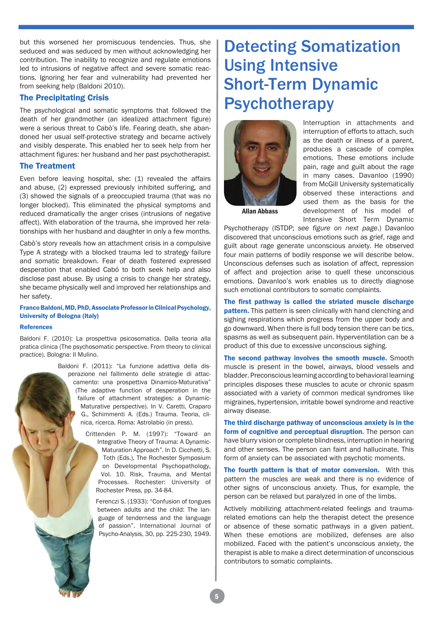but this worsened her promiscuous tendencies. Thus, she seduced and was seduced by men without acknowledging her contribution. The inability to recognize and regulate emotions led to intrusions of negative affect and severe somatic reactions. Ignoring her fear and vulnerability had prevented her from seeking help (Baldoni 2010).

#### The Precipitating Crisis

The psychological and somatic symptoms that followed the death of her grandmother (an idealized attachment figure) were a serious threat to Cabò's life. Fearing death, she abandoned her usual self-protective strategy and became actively and visibly desperate. This enabled her to seek help from her attachment figures: her husband and her past psychotherapist.

#### The Treatment

Even before leaving hospital, she: (1) revealed the affairs and abuse, (2) expressed previously inhibited suffering, and (3) showed the signals of a preoccupied trauma (that was no longer blocked). This eliminated the physical symptoms and reduced dramatically the anger crises (intrusions of negative affect). With elaboration of the trauma, she improved her relationships with her husband and daughter in only a few months.

Cabò's story reveals how an attachment crisis in a compulsive Type A strategy with a blocked trauma led to strategy failure and somatic breakdown. Fear of death fostered expressed desperation that enabled Cabó to both seek help and also disclose past abuse. By using a crisis to change her strategy, she became physically well and improved her relationships and her safety.

#### Franco Baldoni, MD, PhD, Associate Professor in Clinical Psychology, University of Bologna (Italy)

#### References

Baldoni F. (2010): La prospettiva psicosomatica. Dalla teoria alla pratica clinica (The psychosomatic perspective. From theory to clinical practice). Bologna: Il Mulino.

> Baldoni F. (2011): "La funzione adattiva della disperazione nel fallimento delle strategie di attaccamento: una prospettiva Dinamico-Maturativa" (The adaptive function of desperation in the failure of attachment strategies: a Dynamic-Maturative perspective). In V. Caretti, Craparo G., Schimmenti A. (Eds.) Trauma. Teoria, clinica, ricerca. Roma: Astrolabio (in press).

> > Crittenden P. M. (1997): "Toward an Integrative Theory of Trauma: A Dynamic-Maturation Approach". In D. Cicchetti, S. Toth (Eds.), The Rochester Symposium on Developmental Psychopathology, Vol. 10. Risk, Trauma, and Mental Processes. Rochester: University of Rochester Press, pp. 34-84.

Ferenczi S. (1933): "Confusion of tongues between adults and the child: The language of tenderness and the language of passion". International Journal of Psycho-Analysis, 30, pp. 225-230, 1949.

# Detecting Somatization Using Intensive Short-Term Dynamic Psychotherapy



Interruption in attachments and interruption of efforts to attach, such as the death or illness of a parent, produces a cascade of complex emotions. These emotions include pain, rage and guilt about the rage in many cases. Davanloo (1990) from McGill University systematically observed these interactions and used them as the basis for the development of his model of Intensive Short Term Dynamic

Psychotherapy (ISTDP; *see figure on next page*.) Davanloo discovered that unconscious emotions such as grief, rage and guilt about rage generate unconscious anxiety. He observed four main patterns of bodily response we will describe below. Unconscious defenses such as isolation of affect, repression of affect and projection arise to quell these unconscious emotions. Davanloo's work enables us to directly diagnose such emotional contributors to somatic complaints.

The first pathway is called the striated muscle discharge **pattern.** This pattern is seen clinically with hand clenching and sighing respirations which progress from the upper body and go downward. When there is full body tension there can be tics, spasms as well as subsequent pain. Hyperventilation can be a product of this due to excessive unconscious sighing.

The second pathway involves the smooth muscle. Smooth muscle is present in the bowel, airways, blood vessels and bladder. Preconscious learning according to behavioral learning principles disposes these muscles to acute or chronic spasm associated with a variety of common medical syndromes like migraines, hypertension, irritable bowel syndrome and reactive airway disease.

The third discharge pathway of unconscious anxiety is in the form of cognitive and perceptual disruption. The person can have blurry vision or complete blindness, interruption in hearing and other senses. The person can faint and hallucinate. This form of anxiety can be associated with psychotic moments.

The fourth pattern is that of motor conversion. With this pattern the muscles are weak and there is no evidence of other signs of unconscious anxiety. Thus, for example, the person can be relaxed but paralyzed in one of the limbs.

Actively mobilizing attachment-related feelings and traumarelated emotions can help the therapist detect the presence or absence of these somatic pathways in a given patient. When these emotions are mobilized, defenses are also mobilized. Faced with the patient's unconscious anxiety, the therapist is able to make a direct determination of unconscious contributors to somatic complaints.